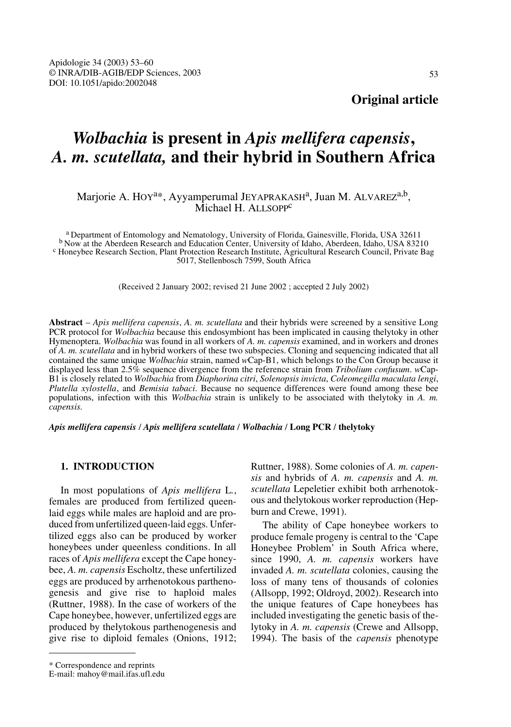# *Wolbachia* **is present in** *Apis mellifera capensis***,**  *A. m. scutellata,* **and their hybrid in Southern Africa**

# Marjorie A. HOY<sup>a\*</sup>, Ayyamperumal JEYAPRAKASH<sup>a</sup>, Juan M. ALVAREZ<sup>a,b</sup>, Michael H. ALLSOPP<sup>c</sup>

<sup>a</sup> Department of Entomology and Nematology, University of Florida, Gainesville, Florida, USA 32611<br><sup>b</sup> Now at the Aberdeen Research and Education Center, University of Idaho, Aberdeen, Idaho, USA 83210<br><sup>c</sup> Honeybee Resear 5017, Stellenbosch 7599, South Africa

(Received 2 January 2002; revised 21 June 2002 ; accepted 2 July 2002)

**Abstract** – *Apis mellifera capensis*, *A. m. scutellata* and their hybrids were screened by a sensitive Long PCR protocol for *Wolbachia* because this endosymbiont has been implicated in causing thelytoky in other Hymenoptera. *Wolbachia* was found in all workers of *A. m. capensis* examined, and in workers and drones of *A. m. scutellata* and in hybrid workers of these two subspecies. Cloning and sequencing indicated that all contained the same unique *Wolbachia* strain, named *w*Cap-B1, which belongs to the Con Group because it displayed less than 2.5% sequence divergence from the reference strain from *Tribolium confusum*. *w*Cap-B1 is closely related to *Wolbachia* from *Diaphorina citri*, *Solenopsis invicta*, *Coleomegilla maculata lengi*, *Plutella xylostella*, and *Bemisia tabaci*. Because no sequence differences were found among these bee populations, infection with this *Wolbachia* strain is unlikely to be associated with thelytoky in *A. m. capensis.*

*Apis mellifera capensis* / *Apis mellifera scutellata* / *Wolbachia* / **Long PCR** / **thelytoky**

## **1. INTRODUCTION**

In most populations of *Apis mellifera* L*.*, females are produced from fertilized queenlaid eggs while males are haploid and are produced from unfertilized queen-laid eggs. Unfertilized eggs also can be produced by worker honeybees under queenless conditions. In all races of *Apis mellifera* except the Cape honeybee, *A. m. capensis* Escholtz, these unfertilized eggs are produced by arrhenotokous parthenogenesis and give rise to haploid males (Ruttner, 1988). In the case of workers of the Cape honeybee, however, unfertilized eggs are produced by thelytokous parthenogenesis and give rise to diploid females (Onions, 1912;

The ability of Cape honeybee workers to produce female progeny is central to the 'Cape Honeybee Problem' in South Africa where, since 1990, *A. m. capensis* workers have invaded *A. m. scutellata* colonies, causing the loss of many tens of thousands of colonies (Allsopp, 1992; Oldroyd, 2002). Research into the unique features of Cape honeybees has included investigating the genetic basis of thelytoky in *A. m. capensis* (Crewe and Allsopp, 1994). The basis of the *capensis* phenotype

Ruttner, 1988). Some colonies of *A. m. capensis* and hybrids of *A. m. capensis* and *A. m. scutellata* Lepeletier exhibit both arrhenotokous and thelytokous worker reproduction (Hepburn and Crewe, 1991).

<sup>\*</sup> Correspondence and reprints

E-mail: mahoy@mail.ifas.ufl.edu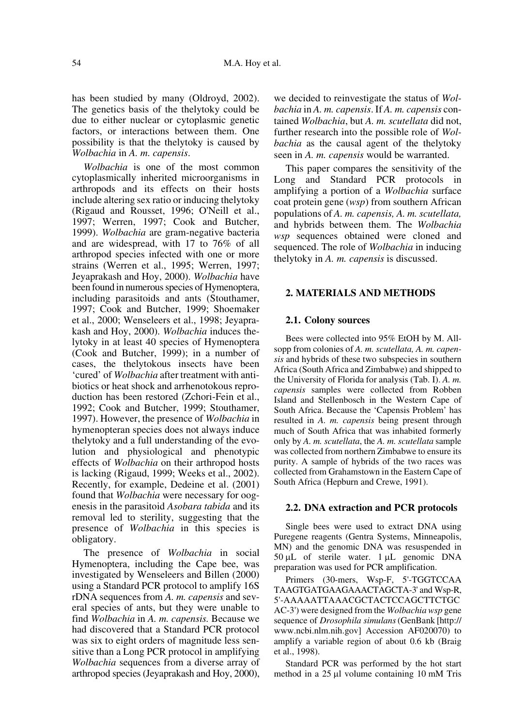has been studied by many (Oldroyd, 2002). The genetics basis of the thelytoky could be due to either nuclear or cytoplasmic genetic factors, or interactions between them. One possibility is that the thelytoky is caused by *Wolbachia* in *A. m. capensis*.

*Wolbachia* is one of the most common cytoplasmically inherited microorganisms in arthropods and its effects on their hosts include altering sex ratio or inducing thelytoky (Rigaud and Rousset, 1996; O'Neill et al., 1997; Werren, 1997; Cook and Butcher, 1999). *Wolbachia* are gram-negative bacteria and are widespread, with 17 to 76% of all arthropod species infected with one or more strains (Werren et al., 1995; Werren, 1997; Jeyaprakash and Hoy, 2000). *Wolbachia* have been found in numerous species of Hymenoptera, including parasitoids and ants (Stouthamer, 1997; Cook and Butcher, 1999; Shoemaker et al., 2000; Wenseleers et al., 1998; Jeyaprakash and Hoy, 2000). *Wolbachia* induces thelytoky in at least 40 species of Hymenoptera (Cook and Butcher, 1999); in a number of cases, the thelytokous insects have been 'cured' of *Wolbachia* after treatment with antibiotics or heat shock and arrhenotokous reproduction has been restored (Zchori-Fein et al., 1992; Cook and Butcher, 1999; Stouthamer, 1997). However, the presence of *Wolbachia* in hymenopteran species does not always induce thelytoky and a full understanding of the evolution and physiological and phenotypic effects of *Wolbachia* on their arthropod hosts is lacking (Rigaud, 1999; Weeks et al., 2002). Recently, for example, Dedeine et al. (2001) found that *Wolbachia* were necessary for oogenesis in the parasitoid *Asobara tabida* and its removal led to sterility, suggesting that the presence of *Wolbachia* in this species is obligatory.

The presence of *Wolbachia* in social Hymenoptera, including the Cape bee, was investigated by Wenseleers and Billen (2000) using a Standard PCR protocol to amplify 16S rDNA sequences from *A. m. capensis* and several species of ants, but they were unable to find *Wolbachia* in *A. m. capensis.* Because we had discovered that a Standard PCR protocol was six to eight orders of magnitude less sensitive than a Long PCR protocol in amplifying *Wolbachia* sequences from a diverse array of arthropod species (Jeyaprakash and Hoy, 2000), we decided to reinvestigate the status of *Wolbachia* in *A. m. capensis*. If *A. m. capensis* contained *Wolbachia*, but *A. m. scutellata* did not, further research into the possible role of *Wolbachia* as the causal agent of the thelytoky seen in *A. m. capensis* would be warranted.

This paper compares the sensitivity of the Long and Standard PCR protocols in amplifying a portion of a *Wolbachia* surface coat protein gene (*wsp*) from southern African populations of *A. m. capensis, A. m. scutellata,* and hybrids between them. The *Wolbachia wsp* sequences obtained were cloned and sequenced. The role of *Wolbachia* in inducing thelytoky in *A. m. capensis* is discussed.

## **2. MATERIALS AND METHODS**

## **2.1. Colony sources**

Bees were collected into 95% EtOH by M. Allsopp from colonies of *A. m. scutellata, A. m. capensis* and hybrids of these two subspecies in southern Africa (South Africa and Zimbabwe) and shipped to the University of Florida for analysis (Tab. I). *A. m. capensis* samples were collected from Robben Island and Stellenbosch in the Western Cape of South Africa. Because the 'Capensis Problem' has resulted in *A. m. capensis* being present through much of South Africa that was inhabited formerly only by *A. m. scutellata*, the *A. m. scutellata* sample was collected from northern Zimbabwe to ensure its purity. A sample of hybrids of the two races was collected from Grahamstown in the Eastern Cape of South Africa (Hepburn and Crewe, 1991).

#### **2.2. DNA extraction and PCR protocols**

Single bees were used to extract DNA using Puregene reagents (Gentra Systems, Minneapolis, MN) and the genomic DNA was resuspended in  $50 \mu L$  of sterile water.  $1 \mu L$  genomic DNA preparation was used for PCR amplification.

Primers (30-mers, Wsp-F, 5'-TGGTCCAA TAAGTGATGAAGAAACTAGCTA-3' and Wsp-R, 5'-AAAAATTAAACGCTACTCCAGCTTCTGC AC-3') were designed from the *Wolbachia wsp* gene sequence of *Drosophila simulans*(GenBank [http:// www.ncbi.nlm.nih.gov] Accession AF020070) to amplify a variable region of about 0.6 kb (Braig et al., 1998).

Standard PCR was performed by the hot start method in a  $25 \mu l$  volume containing 10 mM Tris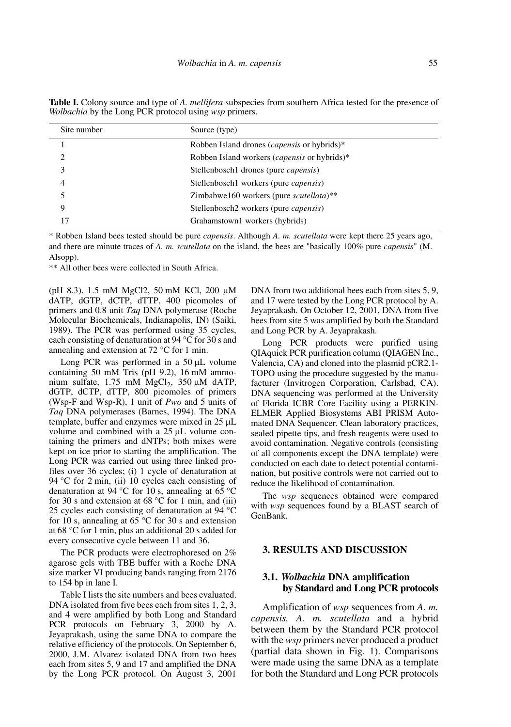| Site number | Source (type)                                        |
|-------------|------------------------------------------------------|
|             | Robben Island drones ( <i>capensis</i> or hybrids)*  |
| າ           | Robben Island workers ( <i>capensis</i> or hybrids)* |
| 3           | Stellenbosch1 drones (pure <i>capensis</i> )         |
| 4           | Stellenbosch1 workers (pure <i>capensis</i> )        |
| 5           | Zimbabwe160 workers (pure scutellata)**              |
| Q           | Stellenbosch2 workers (pure <i>capensis</i> )        |
|             | Grahamstown1 workers (hybrids)                       |

Table I. Colony source and type of *A. mellifera* subspecies from southern Africa tested for the presence of *Wolbachia* by the Long PCR protocol using *wsp* primers.

\* Robben Island bees tested should be pure *capensis*. Although *A. m. scutellata* were kept there 25 years ago, and there are minute traces of *A. m. scutellata* on the island, the bees are "basically 100% pure *capensis*" (M. Alsopp).

\*\* All other bees were collected in South Africa.

(pH 8.3), 1.5 mM MgCl2, 50 mM KCl, 200 µM dATP, dGTP, dCTP, dTTP, 400 picomoles of primers and 0.8 unit *Taq* DNA polymerase (Roche Molecular Biochemicals, Indianapolis, IN) (Saiki, 1989). The PCR was performed using 35 cycles, each consisting of denaturation at 94 °C for 30 s and annealing and extension at 72 °C for 1 min.

Long PCR was performed in a  $50 \mu L$  volume containing 50 mM Tris (pH 9.2), 16 mM ammonium sulfate,  $1.75$  mM MgCl<sub>2</sub>,  $350 \mu M$  dATP, dGTP, dCTP, dTTP, 800 picomoles of primers (Wsp-F and Wsp-R), 1 unit of *Pwo* and 5 units of *Taq* DNA polymerases (Barnes, 1994). The DNA template, buffer and enzymes were mixed in  $25 \mu L$ volume and combined with a  $25 \mu L$  volume containing the primers and dNTPs; both mixes were kept on ice prior to starting the amplification. The Long PCR was carried out using three linked profiles over 36 cycles; (i) 1 cycle of denaturation at 94 °C for 2 min, (ii) 10 cycles each consisting of denaturation at 94 °C for 10 s, annealing at 65 °C for 30 s and extension at 68  $\degree$ C for 1 min, and (iii) 25 cycles each consisting of denaturation at 94 °C for 10 s, annealing at 65  $\degree$ C for 30 s and extension at 68 °C for 1 min, plus an additional 20 s added for every consecutive cycle between 11 and 36.

The PCR products were electrophoresed on 2% agarose gels with TBE buffer with a Roche DNA size marker VI producing bands ranging from 2176 to 154 bp in lane I.

Table I lists the site numbers and bees evaluated. DNA isolated from five bees each from sites 1, 2, 3, and 4 were amplified by both Long and Standard PCR protocols on February 3, 2000 by A. Jeyaprakash, using the same DNA to compare the relative efficiency of the protocols. On September 6, 2000, J.M. Alvarez isolated DNA from two bees each from sites 5, 9 and 17 and amplified the DNA by the Long PCR protocol. On August 3, 2001

DNA from two additional bees each from sites 5, 9, and 17 were tested by the Long PCR protocol by A. Jeyaprakash. On October 12, 2001, DNA from five bees from site 5 was amplified by both the Standard and Long PCR by A. Jeyaprakash.

Long PCR products were purified using QIAquick PCR purification column (QIAGEN Inc., Valencia, CA) and cloned into the plasmid pCR2.1- TOPO using the procedure suggested by the manufacturer (Invitrogen Corporation, Carlsbad, CA). DNA sequencing was performed at the University of Florida ICBR Core Facility using a PERKIN-ELMER Applied Biosystems ABI PRISM Automated DNA Sequencer. Clean laboratory practices, sealed pipette tips, and fresh reagents were used to avoid contamination. Negative controls (consisting of all components except the DNA template) were conducted on each date to detect potential contamination, but positive controls were not carried out to reduce the likelihood of contamination.

The *wsp* sequences obtained were compared with *wsp* sequences found by a BLAST search of GenBank.

## **3. RESULTS AND DISCUSSION**

# **3.1.** *Wolbachia* **DNA amplification by Standard and Long PCR protocols**

Amplification of *wsp* sequences from *A. m. capensis, A. m. scutellata* and a hybrid between them by the Standard PCR protocol with the *wsp* primers never produced a product (partial data shown in Fig. 1). Comparisons were made using the same DNA as a template for both the Standard and Long PCR protocols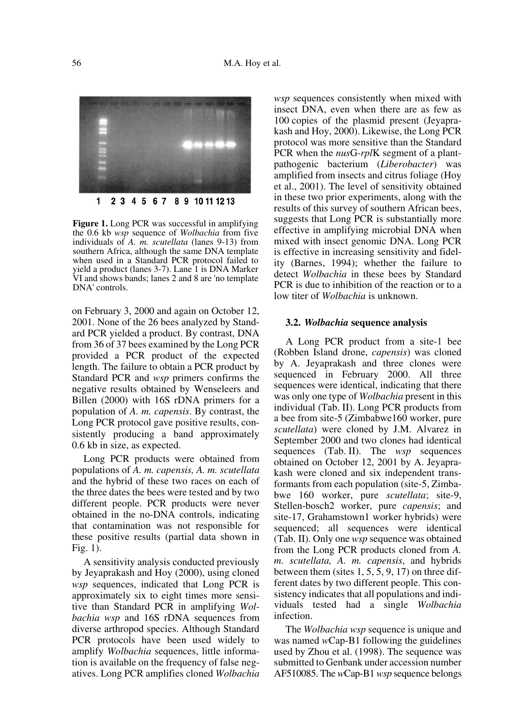

**Figure 1.** Long PCR was successful in amplifying the 0.6 kb *wsp* sequence of *Wolbachia* from five individuals of *A. m. scutellata* (lanes 9-13) from southern Africa, although the same DNA template when used in a Standard PCR protocol failed to yield a product (lanes 3-7). Lane 1 is DNA Marker VI and shows bands; lanes 2 and 8 are 'no template DNA' controls.

on February 3, 2000 and again on October 12, 2001. None of the 26 bees analyzed by Standard PCR yielded a product. By contrast, DNA from 36 of 37 bees examined by the Long PCR provided a PCR product of the expected length. The failure to obtain a PCR product by Standard PCR and *wsp* primers confirms the negative results obtained by Wenseleers and Billen (2000) with 16S rDNA primers for a population of *A. m. capensis*. By contrast, the Long PCR protocol gave positive results, consistently producing a band approximately 0.6 kb in size, as expected.

Long PCR products were obtained from populations of *A. m. capensis, A. m. scutellata* and the hybrid of these two races on each of the three dates the bees were tested and by two different people. PCR products were never obtained in the no-DNA controls, indicating that contamination was not responsible for these positive results (partial data shown in Fig. 1).

A sensitivity analysis conducted previously by Jeyaprakash and Hoy (2000), using cloned *wsp* sequences, indicated that Long PCR is approximately six to eight times more sensitive than Standard PCR in amplifying *Wolbachia wsp* and 16S rDNA sequences from diverse arthropod species. Although Standard PCR protocols have been used widely to amplify *Wolbachia* sequences, little information is available on the frequency of false negatives. Long PCR amplifies cloned *Wolbachia* *wsp* sequences consistently when mixed with insect DNA, even when there are as few as 100 copies of the plasmid present (Jeyaprakash and Hoy, 2000). Likewise, the Long PCR protocol was more sensitive than the Standard PCR when the *nus*G-*rpl*K segment of a plantpathogenic bacterium (*Liberobacter*) was amplified from insects and citrus foliage (Hoy et al., 2001). The level of sensitivity obtained in these two prior experiments, along with the results of this survey of southern African bees, suggests that Long PCR is substantially more effective in amplifying microbial DNA when mixed with insect genomic DNA. Long PCR is effective in increasing sensitivity and fidelity (Barnes, 1994); whether the failure to detect *Wolbachia* in these bees by Standard PCR is due to inhibition of the reaction or to a low titer of *Wolbachia* is unknown.

#### **3.2.** *Wolbachia* **sequence analysis**

A Long PCR product from a site-1 bee (Robben Island drone, *capensis*) was cloned by A. Jeyaprakash and three clones were sequenced in February 2000. All three sequences were identical, indicating that there was only one type of *Wolbachia* present in this individual (Tab. II). Long PCR products from a bee from site-5 (Zimbabwe160 worker, pure *scutellata*) were cloned by J.M. Alvarez in September 2000 and two clones had identical sequences (Tab. II). The *wsp* sequences obtained on October 12, 2001 by A. Jeyaprakash were cloned and six independent transformants from each population (site-5, Zimbabwe 160 worker, pure *scutellata*; site-9, Stellen-bosch2 worker, pure *capensis*; and site-17, Grahamstown1 worker hybrids) were sequenced; all sequences were identical (Tab. II). Only one *wsp* sequence was obtained from the Long PCR products cloned from *A. m. scutellata, A. m. capensis*, and hybrids between them (sites 1, 5, 5, 9, 17) on three different dates by two different people. This consistency indicates that all populations and individuals tested had a single *Wolbachia* infection.

The *Wolbachia wsp* sequence is unique and was named *w*Cap-B1 following the guidelines used by Zhou et al. (1998). The sequence was submitted to Genbank under accession number AF510085. The *w*Cap-B1 *wsp* sequence belongs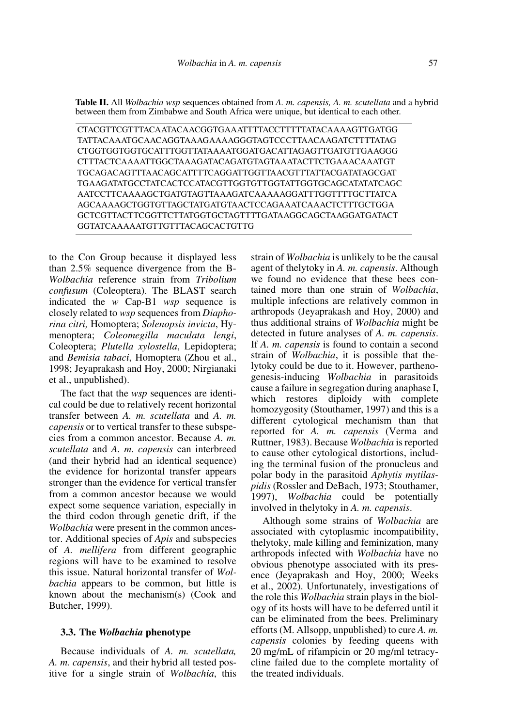**Table II.** All *Wolbachia wsp* sequences obtained from *A. m. capensis, A. m. scutellata* and a hybrid between them from Zimbabwe and South Africa were unique, but identical to each other.

CTACGTTCGTTTACAATACAACGGTGAAATTTTACCTTTTTATACAAAAGTTGATGG TATTACAAATGCAACAGGTAAAGAAAAGGGTAGTCCCTTAACAAGATCTTTTATAG CTGGTGGTGGTGCATTTGGTTATAAAATGGATGACATTAGAGTTGATGTTGAAGGG CTTTACTCAAAATTGGCTAAAGATACAGATGTAGTAAATACTTCTGAAACAAATGT TGCAGACAGTTTAACAGCATTTTCAGGATTGGTTAACGTTTATTACGATATAGCGAT TGAAGATATGCCTATCACTCCATACGTTGGTGTTGGTATTGGTGCAGCATATATCAGC AATCCTTCAAAAGCTGATGTAGTTAAAGATCAAAAAGGATTTGGTTTTGCTTATCA AGCAAAAGCTGGTGTTAGCTATGATGTAACTCCAGAAATCAAACTCTTTGCTGGA GCTCGTTACTTCGGTTCTTATGGTGCTAGTTTTGATAAGGCAGCTAAGGATGATACT GGTATCAAAAATGTTGTTTACAGCACTGTTG

to the Con Group because it displayed less than 2.5% sequence divergence from the B-*Wolbachia* reference strain from *Tribolium confusum* (Coleoptera). The BLAST search indicated the *w* Cap-B1 *wsp* sequence is closely related to *wsp* sequences from *Diaphorina citri,* Homoptera; *Solenopsis invicta*, Hymenoptera; *Coleomegilla maculata lengi*, Coleoptera; *Plutella xylostella*, Lepidoptera; and *Bemisia tabaci*, Homoptera (Zhou et al., 1998; Jeyaprakash and Hoy, 2000; Nirgianaki et al., unpublished).

The fact that the *wsp* sequences are identical could be due to relatively recent horizontal transfer between *A. m. scutellata* and *A. m. capensis* or to vertical transfer to these subspecies from a common ancestor. Because *A. m. scutellata* and *A. m. capensis* can interbreed (and their hybrid had an identical sequence) the evidence for horizontal transfer appears stronger than the evidence for vertical transfer from a common ancestor because we would expect some sequence variation, especially in the third codon through genetic drift, if the *Wolbachia* were present in the common ancestor. Additional species of *Apis* and subspecies of *A. mellifera* from different geographic regions will have to be examined to resolve this issue. Natural horizontal transfer of *Wolbachia* appears to be common, but little is known about the mechanism(s) (Cook and Butcher, 1999).

#### **3.3. The** *Wolbachia* **phenotype**

Because individuals of *A. m. scutellata, A. m. capensis*, and their hybrid all tested positive for a single strain of *Wolbachia*, this strain of *Wolbachia* is unlikely to be the causal agent of thelytoky in *A. m. capensis*. Although we found no evidence that these bees contained more than one strain of *Wolbachia*, multiple infections are relatively common in arthropods (Jeyaprakash and Hoy, 2000) and thus additional strains of *Wolbachia* might be detected in future analyses of *A. m. capensis*. If *A. m. capensis* is found to contain a second strain of *Wolbachia*, it is possible that thelytoky could be due to it. However, parthenogenesis-inducing *Wolbachia* in parasitoids cause a failure in segregation during anaphase I, which restores diploidy with complete homozygosity (Stouthamer, 1997) and this is a different cytological mechanism than that reported for *A. m. capensis* (Verma and Ruttner, 1983). Because *Wolbachia* is reported to cause other cytological distortions, including the terminal fusion of the pronucleus and polar body in the parasitoid *Aphytis mytilaspidis* (Rossler and DeBach, 1973; Stouthamer, 1997), *Wolbachia* could be potentially involved in thelytoky in *A. m. capensis*.

Although some strains of *Wolbachia* are associated with cytoplasmic incompatibility, thelytoky, male killing and feminization, many arthropods infected with *Wolbachia* have no obvious phenotype associated with its presence (Jeyaprakash and Hoy, 2000; Weeks et al., 2002). Unfortunately, investigations of the role this *Wolbachia* strain plays in the biology of its hosts will have to be deferred until it can be eliminated from the bees. Preliminary efforts (M. Allsopp, unpublished) to cure *A. m. capensis* colonies by feeding queens with 20 mg/mL of rifampicin or 20 mg/ml tetracycline failed due to the complete mortality of the treated individuals.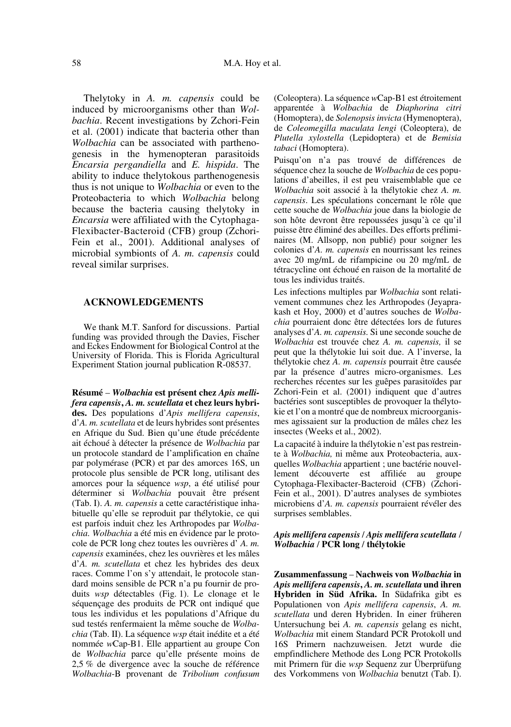Thelytoky in *A. m. capensis* could be induced by microorganisms other than *Wolbachia*. Recent investigations by Zchori-Fein et al. (2001) indicate that bacteria other than *Wolbachia* can be associated with parthenogenesis in the hymenopteran parasitoids *Encarsia pergandiella* and *E. hispida*. The ability to induce thelytokous parthenogenesis thus is not unique to *Wolbachia* or even to the Proteobacteria to which *Wolbachia* belong because the bacteria causing thelytoky in *Encarsia* were affiliated with the Cytophaga-Flexibacter-Bacteroid (CFB) group (Zchori-Fein et al., 2001). Additional analyses of microbial symbionts of *A. m. capensis* could reveal similar surprises.

#### **ACKNOWLEDGEMENTS**

We thank M.T. Sanford for discussions. Partial funding was provided through the Davies, Fischer and Eckes Endowment for Biological Control at the University of Florida. This is Florida Agricultural Experiment Station journal publication R-08537.

**Résumé** – *Wolbachia* **est présent chez** *Apis mellifera capensis***,** *A. m. scutellata* **et chez leurs hybrides.** Des populations d'*Apis mellifera capensis*, d'*A. m. scutellata* et de leurs hybrides sont présentes en Afrique du Sud. Bien qu'une étude précédente ait échoué à détecter la présence de *Wolbachia* par un protocole standard de l'amplification en chaîne par polymérase (PCR) et par des amorces 16S, un protocole plus sensible de PCR long, utilisant des amorces pour la séquence *wsp*, a été utilisé pour déterminer si *Wolbachia* pouvait être présent (Tab. I). *A. m. capensis* a cette caractéristique inhabituelle qu'elle se reproduit par thélytokie, ce qui est parfois induit chez les Arthropodes par *Wolbachia. Wolbachia* a été mis en évidence par le protocole de PCR long chez toutes les ouvrières d' *A. m. capensis* examinées, chez les ouvrières et les mâles d'*A. m. scutellata* et chez les hybrides des deux races. Comme l'on s'y attendait, le protocole standard moins sensible de PCR n'a pu fournir de produits *wsp* détectables (Fig. 1). Le clonage et le séquençage des produits de PCR ont indiqué que tous les individus et les populations d'Afrique du sud testés renfermaient la même souche de *Wolbachia* (Tab. II). La séquence *wsp* était inédite et a été nommée *w*Cap-B1. Elle appartient au groupe Con de *Wolbachia* parce qu'elle présente moins de 2,5 % de divergence avec la souche de référence *Wolbachia*-B provenant de *Tribolium confusum* (Coleoptera). La séquence *w*Cap-B1 est étroitement apparentée à *Wolbachia* de *Diaphorina citri* (Homoptera), de *Solenopsis invicta* (Hymenoptera), de *Coleomegilla maculata lengi* (Coleoptera), de *Plutella xylostella* (Lepidoptera) et de *Bemisia tabaci* (Homoptera).

Puisqu'on n'a pas trouvé de différences de séquence chez la souche de *Wolbachia* de ces populations d'abeilles, il est peu vraisemblable que ce *Wolbachia* soit associé à la thélytokie chez *A. m. capensis*. Les spéculations concernant le rôle que cette souche de *Wolbachia* joue dans la biologie de son hôte devront être repoussées jusqu'à ce qu'il puisse être éliminé des abeilles. Des efforts préliminaires (M. Allsopp, non publié) pour soigner les colonies d'*A. m. capensis* en nourrissant les reines avec 20 mg/mL de rifampicine ou 20 mg/mL de tétracycline ont échoué en raison de la mortalité de tous les individus traités.

Les infections multiples par *Wolbachia* sont relativement communes chez les Arthropodes (Jeyaprakash et Hoy, 2000) et d'autres souches de *Wolbachia* pourraient donc être détectées lors de futures analyses d'*A. m. capensis.* Si une seconde souche de *Wolbachia* est trouvée chez *A. m. capensis,* il se peut que la thélytokie lui soit due. A l'inverse, la thélytokie chez *A. m. capensis* pourrait être causée par la présence d'autres micro-organismes. Les recherches récentes sur les guêpes parasitoïdes par Zchori-Fein et al. (2001) indiquent que d'autres bactéries sont susceptibles de provoquer la thélytokie et l'on a montré que de nombreux microorganismes agissaient sur la production de mâles chez les insectes (Weeks et al., 2002).

La capacité à induire la thélytokie n'est pas restreinte à *Wolbachia,* ni même aux Proteobacteria, auxquelles *Wolbachia* appartient ; une bactérie nouvellement découverte est affiliée au groupe Cytophaga-Flexibacter-Bacteroid (CFB) (Zchori-Fein et al., 2001). D'autres analyses de symbiotes microbiens d'*A. m. capensis* pourraient révéler des surprises semblables.

## *Apis mellifera capensis* / *Apis mellifera scutellata* / *Wolbachia* / **PCR long** / **thélytokie**

**Zusammenfassung** – **Nachweis von** *Wolbachia* **in** *Apis mellifera capensis***,** *A. m. scutellata* **und ihren Hybriden in Süd Afrika.** In Südafrika gibt es Populationen von *Apis mellifera capensis*, *A. m. scutellata* und deren Hybriden. In einer früheren Untersuchung bei *A. m. capensis* gelang es nicht, *Wolbachia* mit einem Standard PCR Protokoll und 16S Primern nachzuweisen. Jetzt wurde die empfindlichere Methode des Long PCR Protokolls mit Primern für die *wsp* Sequenz zur Überprüfung des Vorkommens von *Wolbachia* benutzt (Tab. I).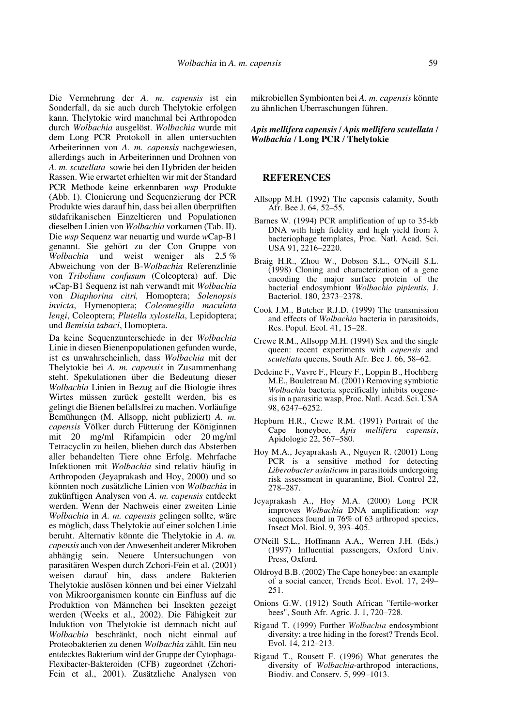Die Vermehrung der *A. m. capensis* ist ein Sonderfall, da sie auch durch Thelytokie erfolgen kann. Thelytokie wird manchmal bei Arthropoden durch *Wolbachia* ausgelöst. *Wolbachia* wurde mit dem Long PCR Protokoll in allen untersuchten Arbeiterinnen von *A. m. capensis* nachgewiesen, allerdings auch in Arbeiterinnen und Drohnen von *A. m. scutellata* sowie bei den Hybriden der beiden Rassen. Wie erwartet erhielten wir mit der Standard PCR Methode keine erkennbaren *wsp* Produkte (Abb. 1). Clonierung und Sequenzierung der PCR Produkte wies darauf hin, dass bei allen überprüften südafrikanischen Einzeltieren und Populationen dieselben Linien von *Wolbachia* vorkamen (Tab. II). Die *wsp* Sequenz war neuartig und wurde *w*Cap-B1 genannt. Sie gehört zu der Con Gruppe von *Wolbachia* und weist weniger als 2,5 % Abweichung von der B-*Wolbachia* Referenzlinie von *Tribolium confusum* (Coleoptera) auf. Die *w*Cap-B1 Sequenz ist nah verwandt mit *Wolbachia* von *Diaphorina citri,* Homoptera; *Solenopsis invicta*, Hymenoptera; *Coleomegilla maculata lengi*, Coleoptera; *Plutella xylostella*, Lepidoptera; und *Bemisia tabaci*, Homoptera.

Da keine Sequenzunterschiede in der *Wolbachia* Linie in diesen Bienenpopulationen gefunden wurde, ist es unwahrscheinlich, dass *Wolbachia* mit der Thelytokie bei *A. m. capensis* in Zusammenhang steht. Spekulationen über die Bedeutung dieser *Wolbachia* Linien in Bezug auf die Biologie ihres Wirtes müssen zurück gestellt werden, bis es gelingt die Bienen befallsfrei zu machen. Vorläufige Bemühungen (M. Allsopp, nicht publiziert) *A. m. capensis* Völker durch Fütterung der Königinnen mit 20 mg/ml Rifampicin oder 20 mg/ml Tetracyclin zu heilen, blieben durch das Absterben aller behandelten Tiere ohne Erfolg. Mehrfache Infektionen mit *Wolbachia* sind relativ häufig in Arthropoden (Jeyaprakash and Hoy, 2000) und so könnten noch zusätzliche Linien von *Wolbachia* in zukünftigen Analysen von *A. m. capensis* entdeckt werden. Wenn der Nachweis einer zweiten Linie *Wolbachia* in *A. m. capensis* gelingen sollte, wäre es möglich, dass Thelytokie auf einer solchen Linie beruht. Alternativ könnte die Thelytokie in *A. m. capensis* auch von der Anwesenheit anderer Mikroben abhängig sein. Neuere Untersuchungen von parasitären Wespen durch Zchori-Fein et al. (2001) weisen darauf hin, dass andere Bakterien Thelytokie auslösen können und bei einer Vielzahl von Mikroorganismen konnte ein Einfluss auf die Produktion von Männchen bei Insekten gezeigt werden (Weeks et al., 2002). Die Fähigkeit zur Induktion von Thelytokie ist demnach nicht auf *Wolbachia* beschränkt, noch nicht einmal auf Proteobakterien zu denen *Wolbachia* zählt. Ein neu entdecktes Bakterium wird der Gruppe der Cytophaga-Flexibacter-Bakteroiden (CFB) zugeordnet (Zchori-Fein et al., 2001). Zusätzliche Analysen von mikrobiellen Symbionten bei *A. m. capensis* könnte zu ähnlichen Überraschungen führen.

## *Apis mellifera capensis* / *Apis mellifera scutellata* / *Wolbachia* / **Long PCR** / **Thelytokie**

## **REFERENCES**

- Allsopp M.H. (1992) The capensis calamity, South Afr. Bee J. 64, 52–55.
- Barnes W. (1994) PCR amplification of up to 35-kb DNA with high fidelity and high yield from  $\lambda$ bacteriophage templates, Proc. Natl. Acad. Sci. USA 91, 2216–2220.
- Braig H.R., Zhou W., Dobson S.L., O'Neill S.L. (1998) Cloning and characterization of a gene encoding the major surface protein of the bacterial endosymbiont *Wolbachia pipientis*, J. Bacteriol. 180, 2373–2378.
- Cook J.M., Butcher R.J.D. (1999) The transmission and effects of *Wolbachia* bacteria in parasitoids, Res. Popul. Ecol. 41, 15–28.
- Crewe R.M., Allsopp M.H. (1994) Sex and the single queen: recent experiments with *capensis* and *scutellata* queens, South Afr. Bee J. 66, 58–62.
- Dedeine F., Vavre F., Fleury F., Loppin B., Hochberg M.E., Bouletreau M. (2001) Removing symbiotic *Wolbachia* bacteria specifically inhibits oogenesis in a parasitic wasp, Proc. Natl. Acad. Sci. USA 98, 6247–6252.
- Hepburn H.R., Crewe R.M. (1991) Portrait of the Cape honeybee, *Apis mellifera capensis*, Apidologie 22, 567–580.
- Hoy M.A., Jeyaprakash A., Nguyen R. (2001) Long PCR is a sensitive method for detecting *Liberobacter asiaticum* in parasitoids undergoing risk assessment in quarantine, Biol. Control 22, 278–287.
- Jeyaprakash A., Hoy M.A. (2000) Long PCR improves *Wolbachia* DNA amplification: *wsp* sequences found in 76% of 63 arthropod species, Insect Mol. Biol. 9, 393–405.
- O'Neill S.L., Hoffmann A.A., Werren J.H. (Eds.) (1997) Influential passengers, Oxford Univ. Press, Oxford.
- Oldroyd B.B. (2002) The Cape honeybee: an example of a social cancer, Trends Ecol. Evol. 17, 249– 251.
- Onions G.W. (1912) South African "fertile-worker bees", South Afr. Agric. J. 1, 720–728.
- Rigaud T. (1999) Further *Wolbachia* endosymbiont diversity: a tree hiding in the forest? Trends Ecol. Evol. 14, 212–213.
- Rigaud T., Rousett F. (1996) What generates the diversity of *Wolbachia*-arthropod interactions, Biodiv. and Conserv. 5, 999–1013.